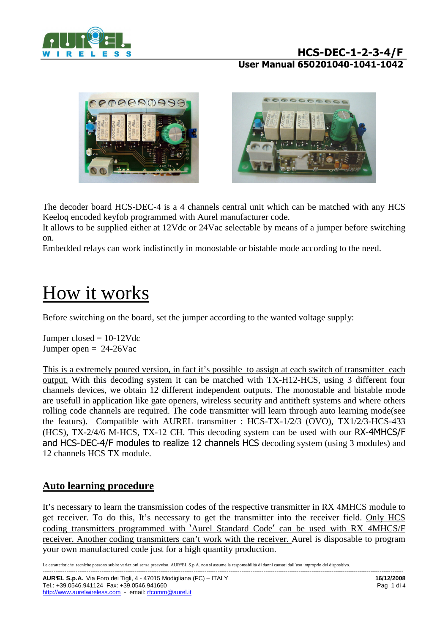





The decoder board HCS-DEC-4 is a 4 channels central unit which can be matched with any HCS Keeloq encoded keyfob programmed with Aurel manufacturer code.

It allows to be supplied either at 12Vdc or 24Vac selectable by means of a jumper before switching on.

Embedded relays can work indistinctly in monostable or bistable mode according to the need.

# How it works

Before switching on the board, set the jumper according to the wanted voltage supply:

Jumper closed  $= 10-12V$ dc Jumper open  $= 24-26$ Vac

This is a extremely poured version, in fact it's possible to assign at each switch of transmitter each output. With this decoding system it can be matched with TX-H12-HCS, using 3 different four channels devices, we obtain 12 different independent outputs. The monostable and bistable mode are usefull in application like gate openers, wireless security and antitheft systems and where others rolling code channels are required. The code transmitter will learn through auto learning mode(see the featurs). Compatible with AUREL transmitter : HCS-TX-1/2/3 (OVO), TX1/2/3-HCS-433 (HCS), TX-2/4/6 M-HCS, TX-12 CH. This decoding system can be used with our RX-4MHCS/F and HCS-DEC-4/F modules to realize 12 channels HCS decoding system (using 3 modules) and 12 channels HCS TX module.

## **Auto learning procedure**

It's necessary to learn the transmission codes of the respective transmitter in RX 4MHCS module to get receiver. To do this, It's necessary to get the transmitter into the receiver field. Only HCS coding transmitters programmed with 'Aurel Standard Code' can be used with RX 4MHCS/F receiver. Another coding transmitters can't work with the receiver. Aurel is disposable to program your own manufactured code just for a high quantity production.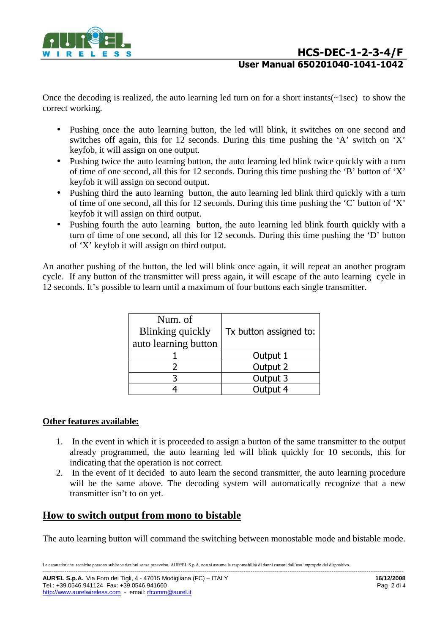

Once the decoding is realized, the auto learning led turn on for a short instants( $\sim$ 1sec) to show the correct working.

- Pushing once the auto learning button, the led will blink, it switches on one second and switches off again, this for 12 seconds. During this time pushing the 'A' switch on 'X' keyfob, it will assign on one output.
- Pushing twice the auto learning button, the auto learning led blink twice quickly with a turn of time of one second, all this for 12 seconds. During this time pushing the 'B' button of 'X' keyfob it will assign on second output.
- Pushing third the auto learning button, the auto learning led blink third quickly with a turn of time of one second, all this for 12 seconds. During this time pushing the 'C' button of 'X' keyfob it will assign on third output.
- Pushing fourth the auto learning button, the auto learning led blink fourth quickly with a turn of time of one second, all this for 12 seconds. During this time pushing the 'D' button of 'X' keyfob it will assign on third output.

An another pushing of the button, the led will blink once again, it will repeat an another program cycle. If any button of the transmitter will press again, it will escape of the auto learning cycle in 12 seconds. It's possible to learn until a maximum of four buttons each single transmitter.

| Num. of<br><b>Blinking quickly</b><br>auto learning button | Tx button assigned to: |  |  |
|------------------------------------------------------------|------------------------|--|--|
|                                                            | Output 1               |  |  |
|                                                            | Output 2               |  |  |
|                                                            | Output 3               |  |  |
|                                                            | Output 4               |  |  |

#### **Other features available:**

- 1. In the event in which it is proceeded to assign a button of the same transmitter to the output already programmed, the auto learning led will blink quickly for 10 seconds, this for indicating that the operation is not correct.
- 2. In the event of it decided to auto learn the second transmitter, the auto learning procedure will be the same above. The decoding system will automatically recognize that a new transmitter isn't to on yet.

## **How to switch output from mono to bistable**

The auto learning button will command the switching between monostable mode and bistable mode.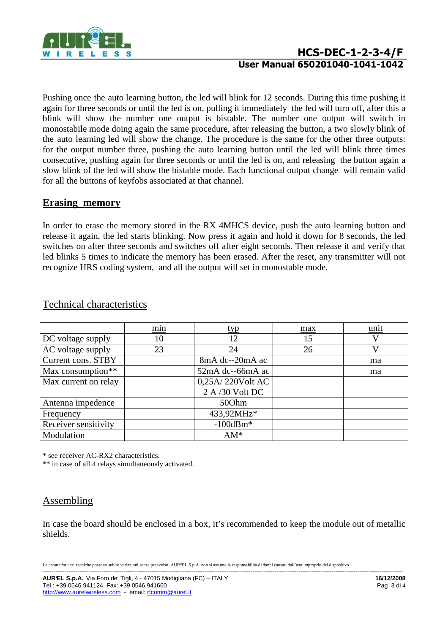

# **HCS-DEC-1-2-3-4/F User Manual 650201040-1041-1042**

Pushing once the auto learning button, the led will blink for 12 seconds. During this time pushing it again for three seconds or until the led is on, pulling it immediately the led will turn off, after this a blink will show the number one output is bistable. The number one output will switch in monostabile mode doing again the same procedure, after releasing the button, a two slowly blink of the auto learning led will show the change. The procedure is the same for the other three outputs: for the output number three, pushing the auto learning button until the led will blink three times consecutive, pushing again for three seconds or until the led is on, and releasing the button again a slow blink of the led will show the bistable mode. Each functional output change will remain valid for all the buttons of keyfobs associated at that channel.

## **Erasing memory**

In order to erase the memory stored in the RX 4MHCS device, push the auto learning button and release it again, the led starts blinking. Now press it again and hold it down for 8 seconds, the led switches on after three seconds and switches off after eight seconds. Then release it and verify that led blinks 5 times to indicate the memory has been erased. After the reset, any transmitter will not recognize HRS coding system, and all the output will set in monostable mode.

|                      | min | typ              | max | unit |
|----------------------|-----|------------------|-----|------|
| DC voltage supply    | 10  | 12               | 15  | V    |
| AC voltage supply    | 23  | 24               | 26  | V    |
| Current cons. STBY   |     | 8mA dc--20mA ac  |     | ma   |
| Max consumption**    |     | 52mA dc--66mA ac |     | ma   |
| Max current on relay |     | 0,25A/220Volt AC |     |      |
|                      |     | 2 A /30 Volt DC  |     |      |
| Antenna impedence    |     | 500hm            |     |      |
| Frequency            |     | 433,92MHz*       |     |      |
| Receiver sensitivity |     | $-100$ dBm $*$   |     |      |
| Modulation           |     | $AM^*$           |     |      |

#### Technical characteristics

\* see receiver AC-RX2 characteristics.

\*\* in case of all 4 relays simultaneously activated.

## Assembling

In case the board should be enclosed in a box, it's recommended to keep the module out of metallic shields.